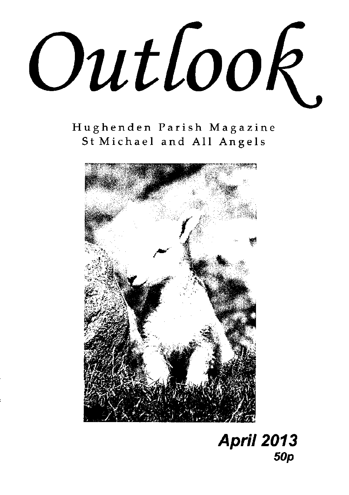Outlook.

Hughenden Parish Magazine St Michael and All Angels



# **April 2013 50p**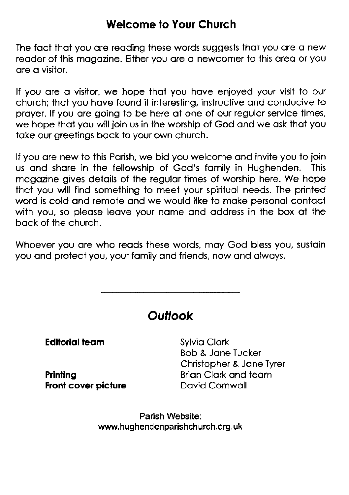### Welcome to Your Church

The fact that you are reading these words suggests that you are a new reoder of this mogozine. Either you ore o newcomer to this oreo or you ore o visitor.

If you are a visitor, we hope that you have enjoyed your visit to our church; thot you hove found it interesting, instructive ond conducive to prayer. If you are going to be here at one of our regular service times, we hope that you will join us in the worship of God and we ask that you toke our greetings bock to your own church.

If you are new to this Parish, we bid you welcome and invite you to join us ond shore in the fellowship of God's fomily in Hughenden. This mogozine gives detoils of the regulor times of worship here. We hope thot you will find something io meet your spirituol needs. The printed word is cold and remote and we would like to make personal contact with you, so please leave your name and address in the box at the bock of the church.

Whoever you are who reads these words, may God bless you, sustain you and protect you, your family and friends, now and always.

**Outlook Editorial team** Printing Front cover picture Sylvio Clork Bob & Jone Tucker Christopher & Jone Tyrer Brion Clork ond teom Dovid Cornwoll

> Parish Website: www. hughendenparishchurch.org.uk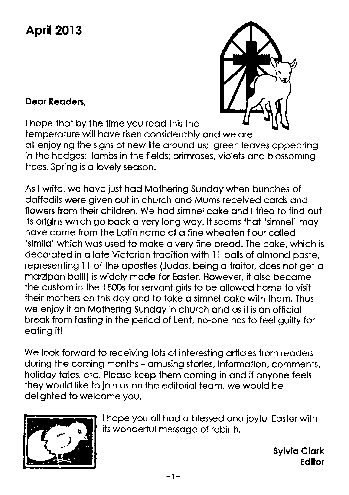# April 2013

#### Deor Reoders,



I hope thot by the time you reod this the temperature will have risen considerably and we are oll enjoying ihe signs of new life oround us; green leoves oppeoring in the hedges; lambs in the fields; primroses, violets and blossoming trees. Spring is a lovely season.

As I write, we hove just hod Mothering Sundoy when bunches of doffodils were given out in church ond Mums received cords ond flowers from their children. We hod simnel coke ond I tried to find oui its origins which go back a very long way. It seems that 'simnel' may have come from the Latin name of a fine wheaten flour called 'simila' which was used to make a very fine bread. The cake, which is decorated in a late Victorian tradition with 11 balls of almond paste, representing 11 of the apostles (Judas, being a traitor, does not get a mozipon boll!) is widely mode for Eoster. However, it olso become the custom in the 1800s for servant girls to be allowed home to visit their mothers on this doy ond to toke o simnel coke with them. Thus we enjoy it on Mothering Sundoy in church ond os it is on officiol breok from fosting in the period of Lent, no-one hos to feel guilty for eoting it!

We look forward to receiving lots of interesting articles from readers during the coming months - amusing stories, information, comments, holidoy toles, etc. Pleose keep them coming in ond if onyone feels they would like to join us on the editoriol teom, we would be delighted to welcome you.



I hope you oll hod o blessed ond joyful Eoster with its wonderful messoge of rebirth.

> Sylvio Clork Edilor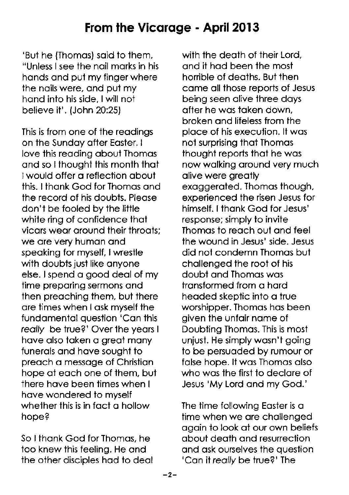'But he (Thomas) said to them, "Unless I see the noil morks in his hands and put my finger where the nails were, and put my hand into his side. I will not believe it'. (John 20:25)

This is from one of the reodings on the Sundoy ofter Eoster. I love this reading about Thomas ond so I thought this month thot lwould offer o reflection obout this. I thonk God for Thomos ond the record of his doubis. Pleose don't be fooled by the little white ring of confidence that vicors weor oround their throots; we ore very humon ond speoking for myself, lwrestle with doubts just like anyone else. I spend a good deal of my time preporing sermons ond then preaching them, but there ore times when I osk myself the fundomentol question 'Con this really be true?' Over the years I hove olso token o greot mony funerals and have sought to preach a message of Christian hope of eoch one of them, but there hove been times when I hove wondered to myself whether this is in fact a hollow hope?

So I thonk God for Thomos, he too knew this feeling. He ond the other disciples hod to deol

with the deoth of their Lord. ond it hod been the most honible of deoths. But then come oll those reports of Jesus being seen olive three doys ofter he wos token down, broken ond lifeless from the ploce of his execution. lt wos not surprising thot Thomos thought reports thot he wos now wolking oround very much olive were greotly exoggeroted. Thomos though, experienced the risen Jesus for himself. I thank God for Jesus' response; simply to invite Thomos to reoch out ond feel the wound in Jesus' side. Jesus did not condemn Thomos but chollenged the root of his doubt ond Thomos wos tronsformed from o hord headed skeptic into a true worshipper. Thomas has been given the unfair name of Doubting Thomos. This is most unjust. He simply wosn't going to be persuoded by rumour or folse hope. lt wos Thomos olso who wos the first to declore of Jesus 'My Lord ond my God.'

The time following Easter is a time when we ore chollenged ogoin to look of our own beliefs obout deoth ond resurrection ond osk ourselves the question 'Can it really be true?' The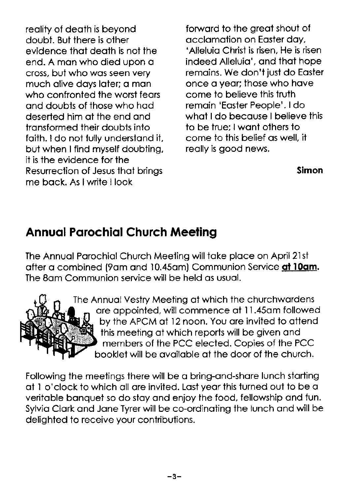reolity of deoth is beyond doubt. But there is other evidence thot deoth is not the end. A mon who died upon o cross, but who wos seen very much olive doys loter; o mon who confronted the worst feors ond doubts of those who hod deserted him of the end ond tronsformed their doubts into foith. I do not fully understond it, but when I find myself doubting, it is the evidence for the Resurrection of Jesus thot brings me bock. As lwrite I look

forward to the great shout of<br>acclamation on Easter day. 'Alleluia Christ is risen, He is risen, indeed Alleluia', and that hope remoins. We don't jusi do Eoster once o yeor; those who hove come to believe this truth remoin 'Eoster People'. ldo whot I do becouse I believe this to be irue; lwont others to come to this belief os well, it reolly is good news.

#### Simon

### Annuql Pqrochiol Church Meeting

The Annuol Porochiol Church Meeting will toke ploce on April 21st ofter a combined (9am and 10.45am) Communion Service at 10am. The 8om Communion service will be held os usuol.



The Annuol Vestry Meeting of which the churchwordens ore oppointed, will commence of I l.45om followed by the APCM of l2 noon. You ore invited to ottend this meeting of which reports will be given ond members of the PCC elected. Copies of the PCC booklet will be ovoiloble of the door of the church.

Following the meetings there will be o bring-ond-shqre lunch storting of I o'clock to which oll ore invited. Lost yeor this turned out to be o veritoble bonquet so do stoy ond enjoy the food, fellowship ond fun. Sylvia Clark and Jane Tyrer will be co-ordinating the lunch and will be delighted to receive your contributions.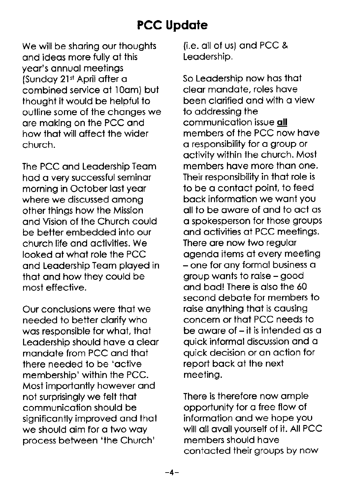# **PCC Update**

We will be sharing our thoughts ond ideos more fully of this yeor's onnuol meetings (Sunday 21st April after a combined service of 1Oom) but thought it would be helpful to outline some of the chonges we ore moking on the PCC ond how thot will offect the wider church.

The PCC ond Leodership Teom hod o very successful seminor morning in October lost yeor where we discussed among other things how the Mission ond Vision of the Church could be better embedded into our church life ond octivities. We looked of whot role the PCC ond Leodership Teom ployed in that and how they could be most effective.

Our conclusions were thot we needed to better clorify who was responsible for what, that Leodership should hove o cleor mondote from PCC ond thot there needed to be 'octive membership' within the PCC. Most importontly however ond not surprisingly we felt thot communicotion should be significontly improved ond thot we should aim for a two way process between 'the Church'

{i.e. oll of us} ond PCC & Leodership.

So Leodership now hos thot cleor mondote, roles hove been clarified and with a view to oddressing the communication issue all members of the PCC now hove o responsibility for o group or octivity within the church. Most members hove more thon one. Their responsibility in thot role is to be o contoct point, to feed bock informotion we wont you ollto be owore of ond to oct os o spokesperson for those groups ond octivities of PCC meetings. There ore now two regulor ogendo items of every meeting - one for ony formol business o group wonts to roise - good ond bod! There is olso the 60 second debote for members to raise anything that is causing concern or thot PCC needs to be aware of  $-$  it is intended as a quick informol discussion ond o quick decision or on oction for report bock of the next meeting.

There is therefore now omple opportunity for o free flow of informotion ond we hope you will all avail yourself of it. All PCC members should hove contacted their groups by now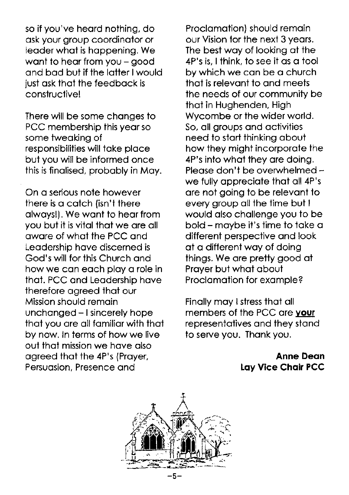so if you've heard nothing, do ask your group coordinator or leoder whot is hoppening. We want to hear from you - good ond bod but if the lotter lwould just osk thot the feedbock is **constructivel** 

There will be some chonges to PCC membership this year so some tweoking of responsibilities will toke ploce but you will be informed once this is finolised, probobly in Moy.

On o serious note however there is o cotch (isn't there olwoys!). We wont to heor from you but it is vitol thot we ore oll owore of whot the PCC ond Leodership hove discerned is God's will for this Church ond how we can each play a role in thot. PCC ond Leodership hove therefore ogreed thot our Mission should remoin unchanged - I sincerely hope ihot you ore oll fomilior with thot by now. In terms of how we live out thot mission we hove olso agreed that the 4P's (Prayer, Persuasion, Presence and

Proclomotion) should remoin our Vision for the next 3 yeors. The best woy of looking ot the 4P's is, I think, to see it os o tool by which we con be o church thot is relevont to ond meets the needs of our community be thot in Hughenden, High Wycombe or the wider world. So, oll groups ond octivities need to start thinking about how they might incorporote the 4P's into whot they ore doing. Please don't be overwhelmed we fully appreciate that all 4P's ore not going to be relevont to every group all the time but I would also challenge you to be bold - moybe it's time to toke o different perspective ond look at a different way of doing things. We ore pretty good ot Proyer but whot obout Proclomotion for exomple?

Finally may I stress that all members of the PCC ore vour representotives ond they stond to serve you. Thank you.

> Anne Deon Loy Vice Choir PCC

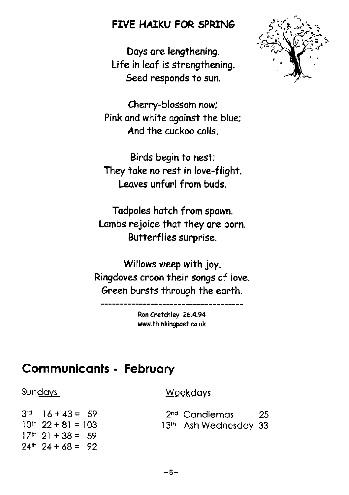### FIVE HAIKU FOR SPRING

Days are lengthening. Life in leaf is strengthening. Seed responds to sun.



Birds begin to nest; They take no rest in love-flight. Leaves unfurl from buds.

Tadpoles hatch from spawn. Lambs rejoice that they are born. Butterflies surprise.

Willows weep with joy. Ringdoves croon their songs of love. Green bursts through the earth.

> Ron Cretchley 26.4.94 www.thinkingpoet.co.uk

### **Communicants - February**

#### Sundays

 $3<sup>rd</sup>$  16 + 43 = 59  $10^{th}$  22 + 81 = 103  $17<sup>th</sup>$  21 + 38 = 59  $24<sup>th</sup>$  24 + 68 = 92

#### Weekdays

2<sup>nd</sup> Candlemas 25 13th Ash Wednesday 33

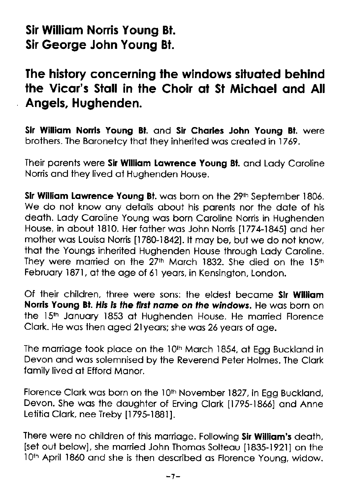# Sir William Norris Young Bt. Sir George John Young Bl.

## The history concerning the windows situated behind the Vicar's Stall in the Choir at St Michael and All Angels, Hughenden.

Sir William Norris Young Bt. and Sir Charles John Young Bt. were brothers. The Boronetcy thot they inherited wos creoted in 1769.

Their parents were Sir William Lawrence Young Bt. and Lady Caroline Norris ond they lived of Hughenden House.

Sir William Lawrence Young Bt. was born on the 29th September 1806. We do not know any details about his parents nor the date of his deoth. Lody Coroline Young wos born Coroline Norris in Hughenden House, in about 1810. Her father was John Norris [1774-1845] and her mother was Louisa Norris [1780-1842]. It may be, but we do not know, thot the Youngs inherited Hughenden House through Lody Coroline. They were married on the 27<sup>th</sup> March 1832. She died on the 15<sup>th</sup> February 1871, at the age of 61 years, in Kensington, London.

Of their children, ihree were sons: the eldest become Sir Williom Norris Young Bt. His is the first name on the windows. He was born on the 15<sup>th</sup> January 1853 at Hughenden House. He married Florence Clark. He was then aged 21 years; she was 26 years of age.

The marriage took place on the 10th March 1854, at Egg Buckland in Devon ond wos solemnised by the Reverend Peter Holmes. The Clork fomily lived ot Efford Monor.

Florence Clark was born on the 10<sup>th</sup> November 1827, in Egg Buckland, Devon. She was the daughter of Erving Clark [1795-1866] and Anne Letitia Clark, nee Treby [1795-1881].

There were no children of this marriage. Following Sir William's death, [set out below], she married John Thomas Solteau [1835-1921] on the 10<sup>th</sup> April 1860 and she is then described as Florence Young, widow.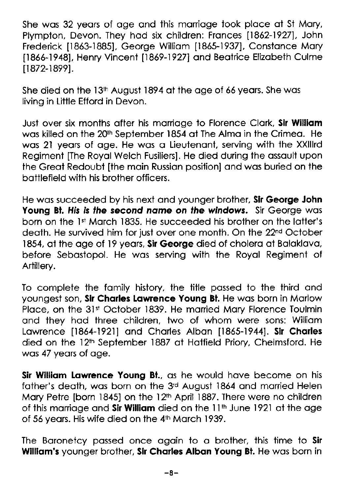She was 32 years of age and this marriage took place at St Mary, Plympton, Devon. They hod six children: Fronces 11862-19271, John Frederick [1863-1885], George William [1865-1937], Constance Mary 11866-19481, Henry Vincent [1869-1927] ond Beotrice Elizobeth Culme 11872-18991.

She died on the 13<sup>th</sup> August 1894 at the age of 66 years. She was living in Liitle Efford in Devon.

Just over six months after his marriage to Florence Clark, Sir William wos killed on the 20th September 1854 of The Almo in the Crimeo. He wos 2l yeors of oge. He wos o Lieutenont, serving with the XXlllrd Regiment [The Royol Welch Fusiliers]. He died during the ossoult upon the Greot Redoubt [the moin Russion position] ond wos buried on the bottlefield with his brother officers.

He was succeeded by his next and younger brother, Sir George John Young Bt. His is the second name on the windows. Sir George was born on the 1<sup>st</sup> March 1835. He succeeded his brother on the latter's death. He survived him for just over one month. On the 22<sup>nd</sup> October 1854, at the age of 19 years, Sir George died of cholera at Balaklava. before Sebostopol. He wos serving with the Royol Regiment of Artillery.

To complete the fomily history, the title possed to the third ond youngest son, Sir Charles Lawrence Young Bt. He was born in Marlow Place, on the 31st October 1839. He married Mary Florence Toulmin ond they hod three children, two of whom were sons: Williom Lawrence [1864-1921] and Charles Alban [1865-1944]. Sir Charles died on the 12<sup>th</sup> September 1887 at Hatfield Priory, Chelmsford. He wos 47 yeors of oge.

Sir William Lawrence Young Bt., as he would have become on his fother's deoth, wos born on the 3'd August 1864 ond morried Helen Mary Petre [born 1845] on the 12<sup>th</sup> April 1887. There were no children of this marriage and Sir William died on the  $11<sup>th</sup>$  June 1921 at the age of 56 yeors. His wife died on the 4rh Morch 1939.

The Baronetcy passed once again to a brother, this time to Sir William's younger brother, Sir Charles Alban Young Bt. He was born in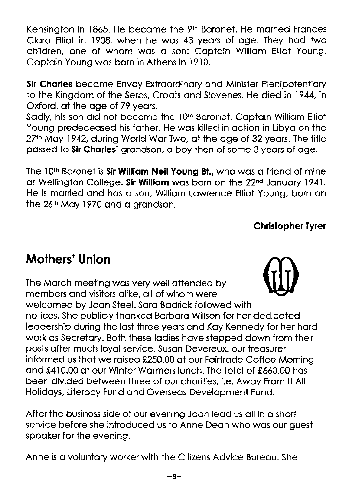Kensington in 1865. He became the 9<sup>th</sup> Baronet. He married Frances Cloro Elliot in 1908, when he wos 43 yeors of oge. They hod two children, one of whom wos o son: Coptoin Williom Elliot Young. Captain Young was born in Athens in 1910.

Sir Charles became Envoy Extraordinary and Minister Plenipotentiary to the Kingdom of the Serbs, Croats and Slovenes. He died in 1944, in Oxford, of the oge of 79 yeors.

Sadly, his son did not become the 10<sup>th</sup> Baronet. Captain William Elliot Young predeceosed his fother. He wos killed in oction in Libyo on the 27<sup>th</sup> May 1942, during World War Two, at the age of 32 years. The title passed to Sir Charles' grandson, a boy then of some 3 years of age.

The 10<sup>th</sup> Baronet is Sir William Neil Young Bt., who was a friend of mine at Wellington College. Sir William was born on the 22<sup>nd</sup> January 1941. He is morried ond hos o son, Williom Lowrence Elliot Young, born on the 26<sup>th</sup> May 1970 and a grandson.

### Chrislopher Tyrer

# Mothers' Union

The March meeting was very well attended by members ond visitors olike, oll of whom were welcomed by Joon Steel. Soro Bodrick followed with notices. She publicly thonked Borboro Willson for her dedicoted leodership during the lost three yeors ond Koy Kennedy for her hord work as Secretary. Both these ladies have stepped down from their posts ofter much loyol service. Suson Devereux, our treosurer, informed us that we raised £250.00 at our Fairtrade Coffee Morning and £410.00 at our Winter Warmers lunch. The total of £660.00 has been divided between ihree of our chorities, i.e. Awoy From lt All Holidoys, Literocy Fund ond Overseos Development Fund.

After the business side of our evening Joon leod us oll in o short service before she introduced us to Anne Dean who was our quest speoker for the evening.

Anne is a voluntary worker with the Citizens Advice Bureau. She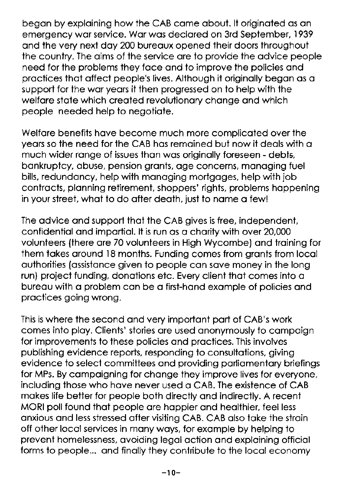begon by exploining how the CAB come obout. lt originoted os on emergency wor service. Wor wos declored on 3rd September,1939 ond the very next doy 200 bureoux opened their doors throughout the country. The oims of the service ore to provide the odvice people need for the problems they foce ond to improve the policies ond proctices thot offect people's lives. Although it originolly begon os o supporl for the wor yeors it then progressed on to help with the welfare state which created revolutionary change and which people needed help to negotiote.

Welfare benefits have become much more complicated over the years so the need for the CAB has remained but now it deals with a much wider range of issues than was originally foreseen - debts, bonkruptcy, obuse, pension gronts, oge concerns, monoging fuel bills, redundoncy, help with monoging mortgoges, help with job contracts, planning retirement, shoppers' rights, problems happening in your street, what to do after death, just to name a few!

The advice and support that the CAB gives is free, independent, confidentiol ond importiol. lt is run os o chority with over 20,000 volunteers {there ore 70 volunteers in High Wycombe) ond troining for them takes around 18 months. Funding comes from grants from local outhorities (ossistonce given to people con sove money in the long run) project funding, donations etc. Every client that comes into a bureou with o problem con be o first-hond exomple of policies ond proctices going wrong.

This is where the second ond very importont port of CAB's work comes into ploy. Clients' stories ore used ononymously io compoign for improvements to these policies and practices. This involves publishing evidence reports, responding fo consultotions, giving evidence to select committees and providing parliamentary briefings for MPs. By campaigning for change they improve lives for everyone, including those who hove never used o CAB. The exisience of CAB mokes life better for people both directly ond indirectly. A recent MORI poll found ihot people ore hoppier ond heolthier, feel less onxious ond less stressed ofier visiting CAB. CAB olso toke the stroin off other local services in many ways, for example by helping to prevent homelessness, ovoiding legol oction ond exploining officiol forms to people... ond finolly they contribute to the locol economy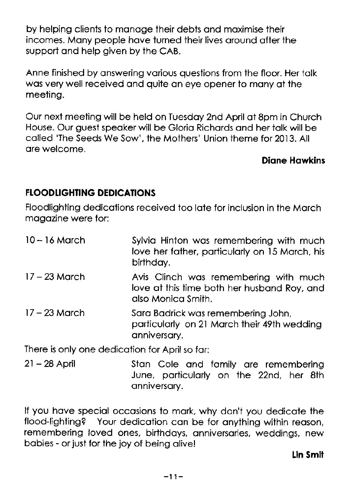by helping clients to monoge their debts ond moximise their incomes. Many people have turned their lives around after the support ond help given by the CAB.

Anne finished by onswering vorious questions from the floor. Her tolk wos very well received ond quite on eye opener to mony of the meeting.

Our next meeting will be held on Tuesdoy 2nd April of 8pm in Church House. Our guest speoker will be Glorio Richords ond her iolk will be called 'The Seeds We Sow', the Mothers' Union theme for 2013. All ore welcome.

#### Dione Howkins

#### FLOODLIGHTING DEDICATIONS

Floodlighting dedicotions received too lote for inclusion in the Morch mogozine were for:

| $10 - 16$ March | Sylvia Hinton was remembering with much<br>love her father, particularly on 15 March, his<br>birthday.     |
|-----------------|------------------------------------------------------------------------------------------------------------|
| $17 - 23$ March | Avis Clinch was remembering with much<br>love at this time both her husband Roy, and<br>also Monica Smith. |
| $17 - 23$ March | Sara Badrick was remembering John,<br>particularly on 21 March their 49th wedding<br>anniversary.          |

There is only one dedicotion for April so for:

21 -28 April Ston Cole ond fomily ore remembering June, poriiculorly on the 22nd, her 8th onniversory.

lf you hove speciol occosions to mork, why don't you dedicote the flood-lighting? Your dedicotion con be for onything within reoson, remembering loved ones, birthdoys, onniversories, weddings, new bobies - or just for the joy of being olive!

#### lin Smit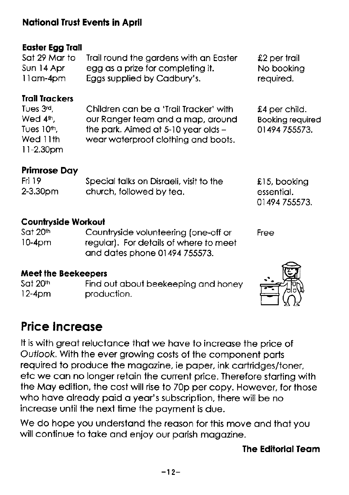### National Trust Events in April

### Eosler Egg lroil

| Sat 29 Mar to | Trail round the gardens with an Easter | $£2$ per trail |
|---------------|----------------------------------------|----------------|
| Sun 14 Apr    | egg as a prize for completing it.      | No booking     |
| 11am-4pm      | Eggs supplied by Cadbury's.            | required.      |

#### **Trail Trackers**

| Tues 3 <sup>rd</sup> . | Children can be a 'Trail Tracker' with  | £4 per child.           |
|------------------------|-----------------------------------------|-------------------------|
| Wed 4 <sup>th</sup> .  | our Ranger team and a map, around       | <b>Booking required</b> |
| Tues 10th,             | the park. Aimed at $5-10$ year olds $-$ | 01494 755573.           |
| Wed 11th               | wear waterproof clothing and boots.     |                         |
| $11 - 2.30$ pm         |                                         |                         |

### Primrose Doy

| Fri 19        | Special talks on Disraeli, visit to the | £15, booking  |
|---------------|-----------------------------------------|---------------|
| $2 - 3.30$ pm | church, followed by tea.                | essential.    |
|               |                                         | 01494 755573. |

#### Counlryside Workoul

| Sat 20th | Countryside volunteering (one-off or   | Free |
|----------|----------------------------------------|------|
| $10-4pm$ | regular). For details of where to meet |      |
|          | and dates phone 01494 755573.          |      |

# **Meet the Beekeepers**<br>Sat 20th **Find c**

Sat  $20^{\text{th}}$  Find out about beekeeping and honey  $12-4$ pm  $12-4$ pm production. production.



# Price Increqse

It is with great reluctance that we have to increase the price of Ouflook. With the ever growing costs of the component ports required to produce the magazine, ie paper, ink cartridges/toner, etc we con no longer retoin the current price. Therefore storting with the Moy edition, the cost will rise to 70p per copy. However, for those who have already paid a year's subscription, there will be no increase until the next time the payment is due.

We do hope you understand the reason for this move and that you will continue to take and enjoy our parish magazine.

### The Editorial Team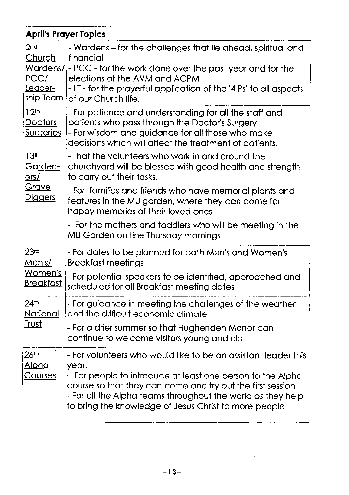|                                                                  | <b>April's Prayer Topics</b>                                                                                                                                                                                                                                                                                                |
|------------------------------------------------------------------|-----------------------------------------------------------------------------------------------------------------------------------------------------------------------------------------------------------------------------------------------------------------------------------------------------------------------------|
| 2 <sub>nd</sub><br>Church<br>Wardens/<br>PCC/<br>Leader-         | - Wardens – for the challenges that lie ahead, spiritual and<br>financial<br>- PCC - for the work done over the past year and for the<br>elections at the AVM and ACPM<br>- LT - for the prayerful application of the '4 Ps' to all aspects<br>ship Team of our Church life.                                                |
| 12 <sup>th</sup><br>Doctors<br>Surgeries                         | - For patience and understanding for all the staff and<br>patients who pass through the Doctor's Surgery<br>- For wisdom and guidance for all those who make<br>decisions which will affect the treatment of patients.                                                                                                      |
| 13 <sup>th</sup><br>Garden-<br>ers/                              | - That the volunteers who work in and around the<br>churchyard will be blessed with good health and strength<br>to carry out their tasks.                                                                                                                                                                                   |
| Grave<br><b>Diggers</b>                                          | - For families and friends who have memorial plants and<br>features in the MU garden, where they can come for<br>happy memories of their loved ones                                                                                                                                                                         |
|                                                                  | - For the mothers and toddlers who will be meeting in the<br>MU Garden on fine Thursday mornings                                                                                                                                                                                                                            |
| 23 <sub>rd</sub><br>Men's/<br><u>Women's</u><br><b>Breakfast</b> | - For dates to be planned for both Men's and Women's<br><b>Breakfast meetings</b><br>- For potential speakers to be identified, approached and<br>scheduled for all Breakfast meeting dates                                                                                                                                 |
| 24 <sup>th</sup><br>National<br>Trust                            | - For guidance in meeting the challenges of the weather<br>and the difficult economic climate                                                                                                                                                                                                                               |
|                                                                  | - For a drier summer so that Hughenden Manor can<br>continue to welcome visitors young and old                                                                                                                                                                                                                              |
| $26$ <sup>th</sup><br>Alpha<br><b>Courses</b>                    | - For volunteers who would like to be an assistant leader this<br>year.<br>- For people to introduce at least one person to the Alpha<br>course so that they can come and try out the first session<br>- For all the Alpha teams throughout the world as they help<br>to bring the knowledge of Jesus Christ to more people |

 $\sim 10^{-1}$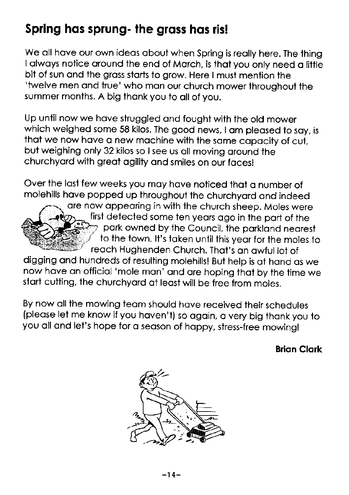# Spring has sprung- the grass has ris!

We all have our own ideas about when Spring is really here. The thing I always notice around the end of March, is that you only need a little bit of sun and the grass starts to grow. Here I must mention the 'twelve men and true' who man our church mower throughout the summer months. A big thank you to all of you.

Up until now we hove struggled ond fought with the old mower which weighed some 58 kilos. The good news, I am pleased to say, is that we now have a new machine with the same capacity of cut, but weighing only 32 kilos so I see us all moving around the churchyord with greot ogility ond smiles on our focesl

Over the last few weeks you may have noticed that a number of molehills have popped up throughout the churchyard and indeed



are now appearing in with the church sheep. Moles were first detected some ten yeors ogo in the port of the park owned by the Council, the parkland nearest to the town. It's taken until this year for the moles to reach Hughenden Church. That's an awful lot of

digging and hundreds of resulting molehills! But help is at hand as we now have an official 'mole man' and are hoping that by the time we start cutting, the churchyard at least will be free from moles.

By now all the mowing team should have received their schedules (pleose let me know if you hoven't) so ogoin, o very big thonk you to you all and let's hope for a season of happy, stress-free mowing!

### **Brian Clark**

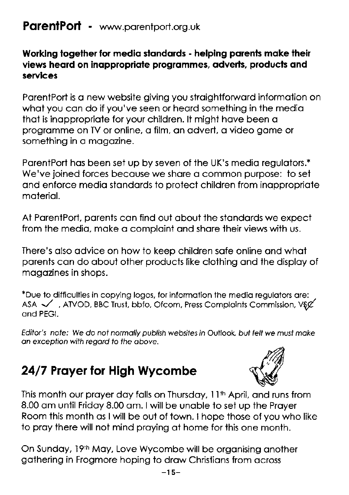### ParentPort - www.parentport.org.uk

### Working together for medig standards - helping parents make their views heard on inappropriate programmes, adverts, products and services

PorentPort is o new website giving you stroightforword informotion on what you can do if you've seen or heard something in the media thot is inoppropriote for your children. lt might hove been o programme on TV or online, a film, an advert, a video game or something in o mogozine.

ParentPort has been set up by seven of the UK's media regulators.\* We've joined forces because we share a common purpose: to set and enforce media standards to protect children from inappropriate moteriol.

At ParentPort, parents can find out about the standards we expect from the media, make a complaint and share their views with us.

There's also advice on how to keep children safe online and what porents con do obout other products like clothing ond the disploy of mogozines in shops.

\*Due to difflculties in copying logos, for informotion the medio regulotors ore: ASA  $\checkmark$ , ATVOD, BBC Trust, bbfo, Ofcom, Press Complaints Commission, V\$ $\chi$ ond PEGI.

Editor's note: We do not normally publish websites in Outlook, but felt we must make an exception with regard to the above.

# 24/7 Prayer for High Wycombe



This month our prayer day falls on Thursday, 11<sup>th</sup> April, and runs from 8.00 om until Fridoy 8.00 om. I will be unoble io set up the Proyer Room ihis month os I will be out of town. I hope those of you who like to proy there will not mind proying of home for this one month.

On Sunday, 19th May, Love Wycombe will be organising another gothering in Frogmore hoping to drow Christions from ocross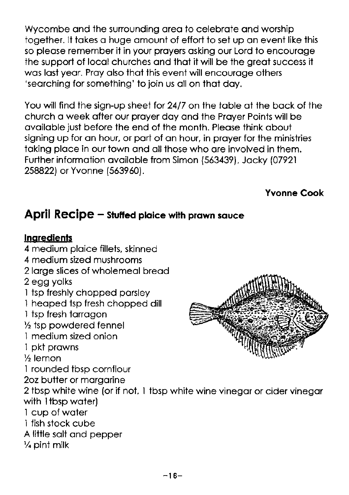Wycombe and the surrounding area to celebrate and worship together. lt tokes o huge omount of effort to set up on event like this so pleose remember it in your proyers osking our Lord to encouroge ihe support of locol churches ond thot it will be the greot success it was last year. Pray also that this event will encourage others 'searching for something' to join us all on that day.

You will find the sign-up sheet tor 24/7 on the toble ot the bock of the church o week ofter our proyer doy ond the Proyer Points will be ovoiloble just before the end of the month. Pleose think obout signing up for an hour, or part of an hour, in prayer for the ministries taking place in our town and all those who are involved in them. Further information available from Simon (563439), Jacky (07921 258822) or Yvonne (563960).

Yvonne Cook

### April  $Recipe -$  stuffed plaice with prawn squce

### **Ingredients**

- 4 medium ploice fillets, skinned
- 4 medium sized mushrooms
- 2 large slices of wholemeal bread
- 2 egg yolks
- I tsp freshly chopped porsley
- 1 heaped tsp fresh chopped dill
- 1 tsp fresh torrogon
- $1/2$  tsp powdered fennel
- I medium sized onion 'l pkt prowns
- 
- $\frac{1}{2}$  lemon

i rounded tbsp cornflour

2oz butter or margarine

2 tbsp white wine (or if not, I tbsp white wine vinegor or cider vinegor with 1tbsp water)

- 1 cup of woter
- I fish stock cube
- A little solt ond pepper
- % pint milk

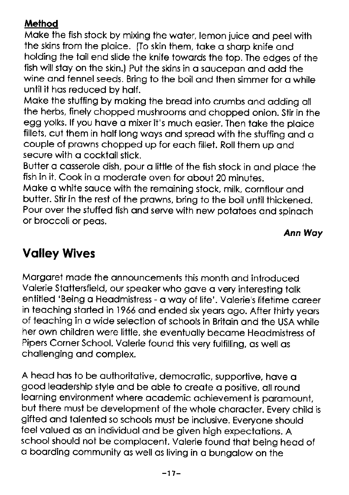### **Method**

Moke the fish stock by mixing the wofer, lemon juice ond peel with the skins from the plaice. (To skin them, take a sharp knife and holding the toil end slide the knife iowords the top. The edges of the fish will stay on the skin.) Put the skins in a saucepan and add the wine and fennel seeds. Bring to the boil and then simmer for a while until it has reduced by half.

Moke the stuffing by moking the breod into crumbs ond odding oll the herbs, finely chopped mushrooms and chopped onion. Stir in the egg yolks. If you have a mixer it's much easier. Then take the plaice fillets, cut them in holf long woys ond spreod with the stuffing ond o couple of prawns chopped up for each fillet. Roll them up and secure with a cocktail stick.

Butter o cosserole dish, pour o little of the fish stock in ond ploce the fish in it. Cook in a moderate oven for about 20 minutes.

Moke o white souce with the remoining stock, milk, cornflour ond butter. stir in the rest of the prowns, bring to the boil until thickened. Pour over the stuffed fish and serve with new potatoes and spinach or broccoli or peos.

### Ann Woy

# Volley Wives

Morgoret mode the onnouncements this month ond introduced Volerie Stottersfield, our speoker who gove o very inieresiing tolk entiiled 'Being o Heodmistress - o woy of life'. volerie's lifetime coreer in teaching started in 1966 and ended six years ago. After thirty years of teoching in o wide selection of schools in Britoin ond the USA while her own children were little, she eventuolly become Heodmistress of Pipers Corner School. Valerie found this very fulfilling, as well as chollenging ond complex.

A head has to be authoritative, democratic, supportive, have a good leodership style ond be oble to creote o positive, oll round learning environment where academic achievement is paramount, but there must be development of the whole chorocter. Every child is gifted ond tolented so schools must be inclusive. Everyone should feel valued as an individual and be given high expectations. A school should not be complacent. Valerie found that being head of o boording community os well os living in o bungolow on the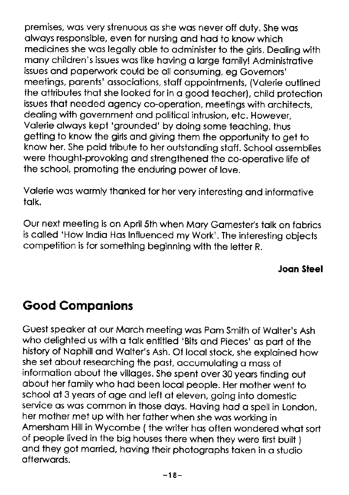premises, wos very strenuous os she wos never off duty. She wos olwoys responsible, even for nursing ond hod to know which medicines she wos legolly oble to odminister to the girls. Deoling with many children's issues was like having a large family! Administrative issues ond poperwork could be oll consuming, eg Governors' meetings, parents' associations, staff appointments, (Valerie outlined the ottributes thot she looked for in o good teocher), child protection issues thot needed ogency co-operotion, meetings with orchitects, dealina with government and political intrusion, etc. However, Volerie olwoys kept 'grounded' by doing some teoching, thus getiing to know the girls ond giving them the opportunity to get to know her. She poid tribute to her outstanding staff. School assemblies were thought-provoking ond strengthened the co-operotive life of the school, promoting the enduring power of love.

Volerie wos wormly thonked for her very interesting ond informotive tolk.

Our next meeting is on April 5th when Mary Gamester's talk on fabrics is colled 'How Indio Hos lnfluenced my Work'. The interesting objects competition is for something beginning with the letter R.

Joon Sleel

# Good Componions

Guest speaker at our March meeting was Pam Smith of Walter's Ash who delighted us with a talk entitled 'Bits and Pieces' as part of the history of Naphill and Walter's Ash. Of local stock, she explained how she set obout reseorching the post, occumuloting o moss of information about the villages. She spent over 30 years finding out obout her fomily who hod been locol people. Her mother went to school at 3 years of age and left at eleven, going into domestic service as was common in those days. Having had a spell in London, her mother met up with her fother when she wos working in Amersham Hill in Wycombe (the writer has often wondered what sort of people lived in the big houses there when ihey were first buirt ) ond they got morried, hoving their photogrophs token in o studio ofterwords.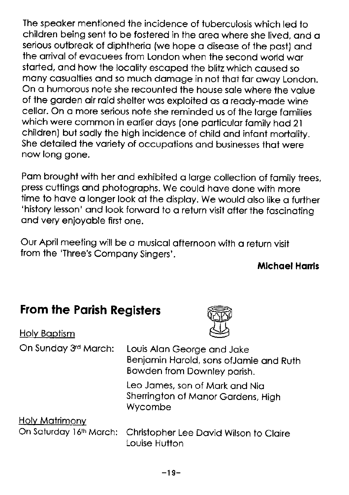The speoker mentioned the incidence of tuberculosis which led to children being sent to be fostered in the area where she lived, and a serious outbreok of diphtherio (we hope o diseose of the post) ond the arrival of evacuees from London when the second world war storted, ond how the locolity escoped the blitz which coused so mony cosuolties ond so much domoge in not thot for owoy London. On a humorous note she recounted the house sale where the value of the gorden oir roid shelter wos exploited os o reody-mode wine cellar. On a more serious note she reminded us of the large families which were common in earlier days (one particular family had 21 children) but sodly the high incidence of child ond infont mortolity. She detailed the variety of occupations and businesses that were now long gone.

Pam brought with her and exhibited a large collection of family trees, press cuttings ond photogrophs. We could hove done with more time to have a longer look at the display. We would also like a further 'history lesson' and look forward to a return visit after the fascinating ond very enjoyoble first one.

our April meeting will be o musicol ofternoon with o reiurn visit from the 'Three's Compony Singers'.

### **Michael Harris**

### From the Parish Registers

Holy Boptism



| On Sunday 3rd March:  | Louis Alan George and Jake<br>Benjamin Harold, sons of Jamie and Ruth<br>Bowden from Downley parish. |
|-----------------------|------------------------------------------------------------------------------------------------------|
|                       | Leo James, son of Mark and Nia<br>Sherrington of Manor Gardens, High<br>Wycombe                      |
| <b>Holy Matrimony</b> |                                                                                                      |
|                       | On Saturday 16th March: Christopher Lee David Wilson to Claire<br>Louise Hutton                      |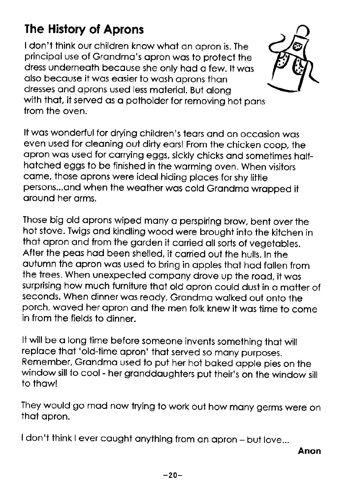# The History of Aprons

I don't think our children know whot on opron is. The principol use of Grondmo's opron wos to protect the dress underneoth becouse she only hod o few. lt wos also because it was easier to wash aprons than dresses ond oprons used less moteriol. But olong with that, it served as a potholder for removing hot pans from the oven.



It wos wonderful for drying children's teors ond on occosion wos even used for cleoning out dirty eors! From the chicken coop, the opron wos used for corrying eggs, sickly chicks ond sometimes holfhotched eggs to be finished in the worming oven. when visitors come, those oprons were ideol hiding ploces for shy litfle persons...and when the weather was cold Grandma wrapped it oround her orms.

Those big old aprons wiped many a perspiring brow, bent over the hot stove. Twigs ond kindling wood were broughi into ihe kitchen in thot opron ond from the gorden it corried oll sorts of vegetobles. After the peos hod been shelled, it corried out the hulls. In the outumn the opron wos used to bring in opples thot hod follen from the trees. When unexpected compony drove up the rood, it wos surprising how much furniture thot old qpron could dust in o motter of seconds. When dinner was ready, Grandma walked out onto the porch, waved her apron and the men folk knew it was time to come in from the fields to dinner.

It will be o long time before someone invents something thot will replace that 'old-time apron' that served so many purposes. Remember, Grandma used to put her hot baked apple pies on the window sill to cool - her granddaughters put their's on the window sill to thowl

They would go mad now trying to work out how many germs were on thot opron.

I don't think I ever caught anything from an apron - but love...

Anon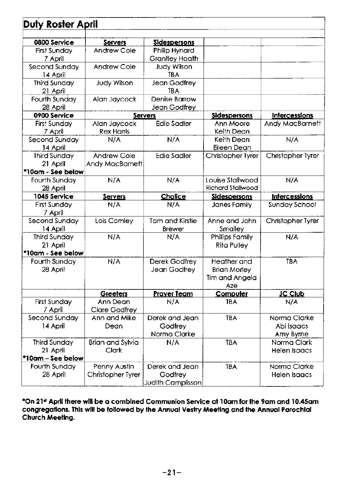| Duty Roster April   |                    |                       |                     |                      |
|---------------------|--------------------|-----------------------|---------------------|----------------------|
|                     |                    |                       |                     |                      |
| 0800 Service        | Servers            | <b>Sidespersons</b>   |                     |                      |
| First Sundav        | Andrew Cole        | Philip Hynard         |                     |                      |
| 7 April             |                    | <b>Grantley Hoath</b> |                     |                      |
| Second Sunday       | Andrew Cole        | <b>Judy Wilson</b>    |                     |                      |
| 14 April            |                    | <b>TBA</b>            |                     |                      |
| <b>Third Sunday</b> | <b>Judy Wilson</b> | Jean Godfrey          |                     |                      |
| 21 April            |                    | <b>TBA</b>            |                     |                      |
| Fourth Sunday       | Alan Jaycock       | Denise Barrow         |                     |                      |
| 28 April            |                    | Jean Godfrey          |                     |                      |
| 0900 Service        |                    | <b>Servers</b>        | <b>Sidespersons</b> | Intercessions        |
| <b>First Sunday</b> | Alan Jaycock       | <b>Edie Sadler</b>    | Ann Moore           | Andy MacBarnett      |
| 7 April             | <b>Rex Harris</b>  |                       | Keith Dean          |                      |
| Second Sunday       | N/A                | N/A                   | Keith Dean          | N/A                  |
| 14 April            |                    |                       | Eileen Dean         |                      |
| <b>Third Sunday</b> | Andrew Cole        | <b>Edie Sadler</b>    | Christopher Tyrer   | Christopher Tyrer    |
| 21 April            | Andy MacBarnett    |                       |                     |                      |
| *10am - See below   |                    |                       |                     |                      |
| Fourth Sunday       | N/A                | N/A                   | Louise Stallwood    | N/A                  |
| 28 April            |                    |                       | Richard Stallwood   |                      |
| 1045 Service        | Servers            | Chalice               | <b>Sidespersons</b> | <b>Intercessions</b> |
| <b>First Sunday</b> | N/A                | N/A                   | Janes Family        | Sunday School        |
| 7 April             |                    |                       |                     |                      |
| Second Sunday       | Lois Comley        | Tom and Kirstie       | Anne and John       | Christopher Tyrer    |
| 14 April            |                    | <b>Brewer</b>         | Smalley             |                      |
| <b>Third Sunday</b> | N/A                | N/A                   | Phillips Family     | N/A                  |
| 21 April            |                    |                       | <b>Rita Pulley</b>  |                      |
| *10am - See below   |                    |                       |                     |                      |
| Fourth Sunday       | N/A                | Derek Godfrey         | Heather and         | <b>TBA</b>           |
| 28 April            |                    | Jean Godfrey          | <b>Brian Morley</b> |                      |
|                     |                    |                       | Tim and Angela      |                      |
|                     |                    |                       | Aze                 |                      |
|                     | Greeters           | <b>Prayer Team</b>    | Computer            | <b>JC Club</b>       |
| <b>First Sunday</b> | Ann Dean           | N/A                   | <b>TRA</b>          | N/A                  |
| 7 April             | Clare Godfrey      |                       |                     |                      |
| Second Sunday       | Ann and Mike       | Derek and Jean        | <b>TBA</b>          | Norma Clarke         |
| 14 April            | Dean               | Godfrey               |                     | Abi Isaacs           |
|                     |                    | Norma Clarke          |                     | Amy Byrne            |
| <b>Third Sunday</b> | Brian and Sylvia   | N/A                   | <b>TBA</b>          | Norma Clark          |
| 21 April            | <b>Clark</b>       |                       |                     | Helen Isaacs         |
| *10am – See below   |                    |                       |                     |                      |
| Fourth Sunday       | Penny Austin       | Derek and Jean        | <b>TBA</b>          | Norma Clarke         |
| 28 April            | Christopher Tyrer  | Godfrey               |                     | Helen Isaacs         |
|                     |                    | Judith Camplisson     |                     |                      |

'On 2l\* Aprll fhere wlll be o comblned Communion Servlce ol 1Oom for lhe 9om ond l0.45om congregations. This will be followed by the Annual Vestry Meeting and the Annual Parochial Church Meefing.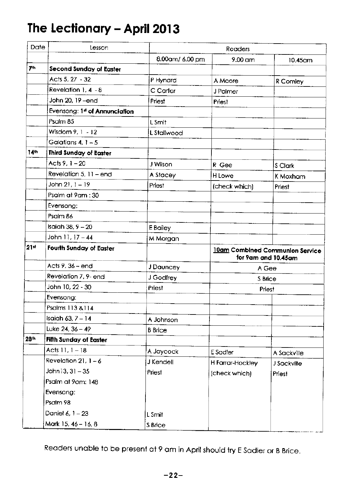# The Lectionary - April 2013

| Date             | Lesson                                    |                 | Readers          |                                                        |
|------------------|-------------------------------------------|-----------------|------------------|--------------------------------------------------------|
|                  |                                           | 8.00am/ 6.00 pm | 9.00 am          | 10.45am                                                |
| 7th              | Second Sunday of Easter                   |                 |                  |                                                        |
|                  | Acts 5, 27 - 32                           | P Hynard        | A Moore          | R Comley                                               |
|                  | Revelation $1.4 - 8$                      | C Carter        | J Palmer         |                                                        |
|                  | John 20, 19 - end                         | Priest          | Priest           |                                                        |
|                  | Evensong: 1 <sup>st</sup> of Annunciation |                 |                  |                                                        |
|                  | Psalm 85                                  | L Smit          |                  |                                                        |
|                  | Wisdom 9, 1 - 12                          | L Stallwood     |                  |                                                        |
|                  | Galatians $4.1 - 5$                       |                 |                  |                                                        |
| 14th             | <b>Third Sunday of Easter</b>             |                 |                  |                                                        |
|                  | Acts 9, 1 - 20                            | J Wilson        | R Gee            | S Clark                                                |
|                  | Revelation $5, 11$ – end                  | A Stacey        | H Lowe           | K Moxham                                               |
|                  | John 21, 1 – 19                           | Priest          | (check which)    | <b>Priest</b>                                          |
|                  | Psalm at 9am : 30                         |                 |                  |                                                        |
|                  | Evensong:                                 |                 |                  |                                                        |
|                  | Psalm 86                                  |                 |                  |                                                        |
|                  | Isaiah 38, 9 - 20                         | E Bailey        |                  |                                                        |
|                  | John 11, 17 - 44                          | M Morgan        |                  |                                                        |
| 21 <sup>st</sup> | Fourth Sunday of Easter                   |                 |                  | 10am Combined Communion Service<br>for 9am and 10.45am |
|                  | Acts 9, 36 – end                          | J Dauncey       |                  | A Gee                                                  |
|                  | Revelation 7, 9- end                      | J Godfrey       |                  | S Brice                                                |
|                  | John 10, 22 - 30                          | Priest          |                  | <b>Priest</b>                                          |
|                  | Evensong:                                 |                 |                  |                                                        |
|                  | Psalms 113 & 114                          |                 |                  |                                                        |
|                  | Isaiah 63, 7 – 14                         | A Johnson       |                  |                                                        |
|                  | Luke $24, 36 - 49$                        | <b>B</b> Brice  |                  |                                                        |
| 28th             | Fifth Sunday of Easter                    |                 |                  |                                                        |
|                  | Acts 11, 1 - 18                           | A Jaycock       | E Sadler         | A Sackville                                            |
|                  | Revelation $21.1 - 6$                     | J Kendell       | H Farrar-Hockley | J Sackville                                            |
|                  | John 13, 31 – 35                          | Priest          | (check which)    | Priest                                                 |
|                  | Psalm at 9am: 148                         |                 |                  |                                                        |
|                  | Evensong:                                 |                 |                  |                                                        |
|                  | Psalm 98                                  |                 |                  |                                                        |
|                  | Daniel 6, 1 - 23                          | L Smit          |                  |                                                        |
|                  | Mark 15, 46 - 16, 8                       | S Brice         |                  |                                                        |

Readers unable to be present at 9 am in April should try E Sadler or B Brice.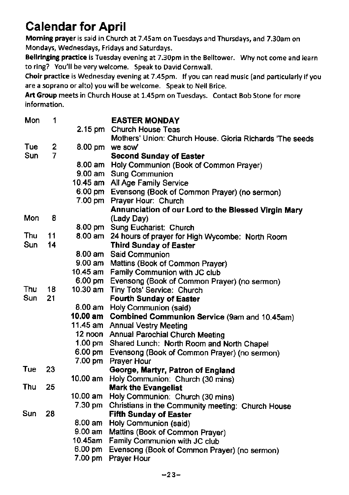# Calendar for April

Morning prayer is said in Church at 7.45am on Tuesdays and Thursdays, and 7.30am on Mondays, Wednesdays, Fridays and Saturdays.

Bellringing practice is Tuesday evening at 7.30pm in the Belltower. Why not come and learn to ring? You'll be very welcome. Speak to David Cornwall.

Choir practice is Wednesday evening at 7.45pm. lf you can read music (and particularly if you are a soprano or alto) you will be welcome. Speak to Neil Brice.

Art Group meets in Church House at 1.45pm on Tuesdays. Contact Bob Stone for more information.

| 1                |                                  | <b>EASTER MONDAY</b>                                                                                                                   |
|------------------|----------------------------------|----------------------------------------------------------------------------------------------------------------------------------------|
|                  |                                  | 2.15 pm Church House Teas                                                                                                              |
|                  |                                  | Mothers' Union: Church House. Gloria Richards 'The seeds                                                                               |
| $\boldsymbol{2}$ |                                  | 8.00 pm we sow'                                                                                                                        |
| $\overline{7}$   |                                  | <b>Second Sunday of Easter</b>                                                                                                         |
|                  |                                  | 8.00 am Holy Communion (Book of Common Prayer)                                                                                         |
|                  |                                  | 9.00 am Sung Communion                                                                                                                 |
|                  |                                  | 10.45 am All Age Family Service                                                                                                        |
|                  |                                  | 6.00 pm Evensong (Book of Common Prayer) (no sermon)                                                                                   |
|                  |                                  | 7.00 pm Prayer Hour: Church                                                                                                            |
|                  |                                  | Annunciation of our Lord to the Blessed Virgin Mary                                                                                    |
| 8                |                                  | (Lady Day)                                                                                                                             |
|                  |                                  | 8.00 pm Sung Eucharist: Church                                                                                                         |
| 11               |                                  | 8.00 am 24 hours of prayer for High Wycombe: North Room                                                                                |
|                  |                                  | <b>Third Sunday of Easter</b>                                                                                                          |
|                  |                                  | 8.00 am Said Communion                                                                                                                 |
|                  |                                  | 9.00 am Mattins (Book of Common Prayer)                                                                                                |
|                  |                                  | 10.45 am Family Communion with JC club                                                                                                 |
|                  |                                  | 6.00 pm Evensong (Book of Common Prayer) (no sermon)                                                                                   |
|                  |                                  | Tiny Tots' Service: Church                                                                                                             |
|                  |                                  | <b>Fourth Sunday of Easter</b>                                                                                                         |
|                  |                                  | 8.00 am Holy Communion (said)                                                                                                          |
|                  |                                  | 10.00 am Combined Communion Service (9am and 10.45am)                                                                                  |
|                  |                                  | 11.45 am Annual Vestry Meeting                                                                                                         |
|                  |                                  | 12 noon Annual Parochial Church Meeting                                                                                                |
|                  |                                  | 1.00 pm Shared Lunch: North Room and North Chape!                                                                                      |
|                  |                                  | Evensong (Book of Common Prayer) (no sermon)                                                                                           |
|                  |                                  | Prayer Hour                                                                                                                            |
|                  |                                  | George, Martyr, Patron of England                                                                                                      |
|                  |                                  | Holy Communion: Church (30 mins)                                                                                                       |
|                  |                                  | <b>Mark the Evangelist</b>                                                                                                             |
|                  |                                  | Holy Communion: Church (30 mins)                                                                                                       |
|                  |                                  | Christians in the Community meeting: Church House                                                                                      |
|                  |                                  | <b>Fifth Sunday of Easter</b>                                                                                                          |
|                  |                                  | 8.00 am Holy Communion (said)                                                                                                          |
|                  |                                  | Mattins (Book of Common Prayer)                                                                                                        |
|                  |                                  | Family Communion with JC club                                                                                                          |
|                  |                                  | Evensong (Book of Common Prayer) (no sermon)                                                                                           |
|                  |                                  | <b>Prayer Hour</b>                                                                                                                     |
|                  | 14<br>18<br>21<br>23<br>25<br>28 | 10.30 am<br>$6.00 \text{ pm}$<br>7.00 pm<br>$10.00$ am<br>$10.00$ am<br>7.30 pm<br>9.00 <sub>am</sub><br>10.45am<br>6.00 pm<br>7.00 pm |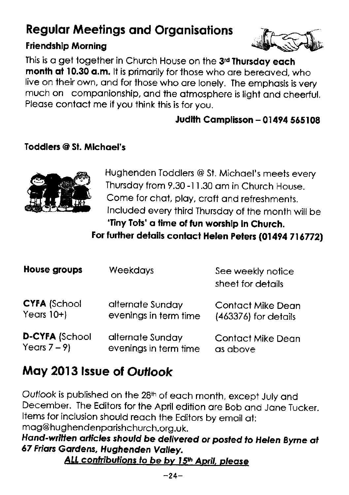# **Regular Meetings and Organisations**

### **Friendship Morning**



This is a get together in Church House on the 3<sup>rd</sup> Thursday each month at 10.30 a.m. It is primarily for those who are bereaved, who live on their own, and for those who are lonely. The emphasis is very much on companionship, and the atmosphere is light and cheerful. Please contact me if you think this is for you.

### **Judith Camplisson - 01494 565108**

### **Toddlers @ St. Michael's**



Hughenden Toddlers @ St. Michael's meets every Thursday from 9.30-11.30 am in Church House. Come for chat, play, craft and refreshments. Included every third Thursday of the month will be 'Tiny Tots' a time of fun worship in Church.

For further details contact Helen Peters (01494 716772)

| House groups          | <b>Weekdays</b>       | See weekly notice<br>sheet for details |
|-----------------------|-----------------------|----------------------------------------|
| <b>CYFA (School</b>   | alternate Sunday      | <b>Contact Mike Dean</b>               |
| Years $10+$           | evenings in term time | $(463376)$ for details                 |
| <b>D-CYFA (School</b> | alternate Sunday      | <b>Contact Mike Dean</b>               |
| Years $7 - 9$         | evenings in term time | as above                               |

# May 2013 Issue of Outlook

Outlook is published on the 28th of each month, except July and December. The Editors for the April edition are Bob and Jane Tucker. Items for inclusion should reach the Editors by email at: mag@hughendenparishchurch.org.uk.

### Hand-written articles should be delivered or posted to Helen Byrne at 67 Friars Gardens, Hughenden Valley.

ALL contributions to be by 15th April, please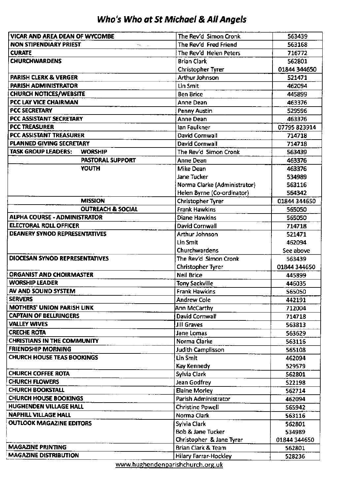### Who's Who at St Michoel & All Angels

| <b>NON STIPENDIARY PRIEST</b><br>The Rev'd Fred Friend<br>563168<br>alla c<br><b>CURATE</b><br>The Rev'd Helen Peters<br>716772<br><b>CHURCHWARDENS</b><br><b>Brian Clark</b><br>562801<br>01844 344650<br><b>Christopher Tyrer</b><br><b>PARISH CLERK &amp; VERGER</b><br>Arthur Johnson<br>521471<br>PARISH ADMINISTRATOR<br>Lin Smit<br>462094<br><b>CHURCH NOTICES/WEBSITE</b><br><b>Ben Brice</b><br>445899<br>PCC LAY VICE CHAIRMAN<br>Anne Dean<br>463376<br>PCC SECRETARY<br>Penny Austin<br>529596<br>PCC ASSISTANT SECRETARY<br>Anne Dean<br>463376<br><b>PCC TREASURER</b><br>lan Faulkner<br>07795 823914<br>PCC ASSISTANT TREASURER<br>David Cornwall<br>714718<br>PLANNED GIVING SECRETARY<br>David Cornwall<br>714718<br>TASK GROUP LEADERS:<br><b>WORSHIP</b><br>The Rev'd Simon Cronk<br>563439<br><b>PASTORAL SUPPORT</b><br>Anne Dean<br>463376<br>YOUTH<br>Mike Dean<br>463376<br>Jane Tucker<br>534989<br>Norma Clarke (Administrator)<br>563116<br>Helen Byrne (Co-ordinator)<br>564342<br><b>MISSION</b><br><b>Christopher Tyrer</b><br>01844 344650<br><b>OUTREACH &amp; SOCIAL</b><br>Frank Hawkins<br>565050<br>ALPHA COURSE - ADMINISTRATOR<br>Diane Hawkins<br>565050<br><b>ELECTORAL ROLL OFFICER</b><br>David Cornwall<br>714718<br><b>DEANERY SYNOD REPRESENTATIVES</b><br>Arthur Johnson<br>521471<br>Lin Smit<br>462094<br>Churchwardens<br>See above<br>DIOCESAN SYNOD REPRESENTATIVES<br>The Rev'd Simon Cronk<br>563439<br>Christopher Tyrer<br>01844 344650 |
|--------------------------------------------------------------------------------------------------------------------------------------------------------------------------------------------------------------------------------------------------------------------------------------------------------------------------------------------------------------------------------------------------------------------------------------------------------------------------------------------------------------------------------------------------------------------------------------------------------------------------------------------------------------------------------------------------------------------------------------------------------------------------------------------------------------------------------------------------------------------------------------------------------------------------------------------------------------------------------------------------------------------------------------------------------------------------------------------------------------------------------------------------------------------------------------------------------------------------------------------------------------------------------------------------------------------------------------------------------------------------------------------------------------------------------------------------------------------------------------------------|
|                                                                                                                                                                                                                                                                                                                                                                                                                                                                                                                                                                                                                                                                                                                                                                                                                                                                                                                                                                                                                                                                                                                                                                                                                                                                                                                                                                                                                                                                                                  |
|                                                                                                                                                                                                                                                                                                                                                                                                                                                                                                                                                                                                                                                                                                                                                                                                                                                                                                                                                                                                                                                                                                                                                                                                                                                                                                                                                                                                                                                                                                  |
|                                                                                                                                                                                                                                                                                                                                                                                                                                                                                                                                                                                                                                                                                                                                                                                                                                                                                                                                                                                                                                                                                                                                                                                                                                                                                                                                                                                                                                                                                                  |
|                                                                                                                                                                                                                                                                                                                                                                                                                                                                                                                                                                                                                                                                                                                                                                                                                                                                                                                                                                                                                                                                                                                                                                                                                                                                                                                                                                                                                                                                                                  |
|                                                                                                                                                                                                                                                                                                                                                                                                                                                                                                                                                                                                                                                                                                                                                                                                                                                                                                                                                                                                                                                                                                                                                                                                                                                                                                                                                                                                                                                                                                  |
|                                                                                                                                                                                                                                                                                                                                                                                                                                                                                                                                                                                                                                                                                                                                                                                                                                                                                                                                                                                                                                                                                                                                                                                                                                                                                                                                                                                                                                                                                                  |
|                                                                                                                                                                                                                                                                                                                                                                                                                                                                                                                                                                                                                                                                                                                                                                                                                                                                                                                                                                                                                                                                                                                                                                                                                                                                                                                                                                                                                                                                                                  |
|                                                                                                                                                                                                                                                                                                                                                                                                                                                                                                                                                                                                                                                                                                                                                                                                                                                                                                                                                                                                                                                                                                                                                                                                                                                                                                                                                                                                                                                                                                  |
|                                                                                                                                                                                                                                                                                                                                                                                                                                                                                                                                                                                                                                                                                                                                                                                                                                                                                                                                                                                                                                                                                                                                                                                                                                                                                                                                                                                                                                                                                                  |
|                                                                                                                                                                                                                                                                                                                                                                                                                                                                                                                                                                                                                                                                                                                                                                                                                                                                                                                                                                                                                                                                                                                                                                                                                                                                                                                                                                                                                                                                                                  |
|                                                                                                                                                                                                                                                                                                                                                                                                                                                                                                                                                                                                                                                                                                                                                                                                                                                                                                                                                                                                                                                                                                                                                                                                                                                                                                                                                                                                                                                                                                  |
|                                                                                                                                                                                                                                                                                                                                                                                                                                                                                                                                                                                                                                                                                                                                                                                                                                                                                                                                                                                                                                                                                                                                                                                                                                                                                                                                                                                                                                                                                                  |
|                                                                                                                                                                                                                                                                                                                                                                                                                                                                                                                                                                                                                                                                                                                                                                                                                                                                                                                                                                                                                                                                                                                                                                                                                                                                                                                                                                                                                                                                                                  |
|                                                                                                                                                                                                                                                                                                                                                                                                                                                                                                                                                                                                                                                                                                                                                                                                                                                                                                                                                                                                                                                                                                                                                                                                                                                                                                                                                                                                                                                                                                  |
|                                                                                                                                                                                                                                                                                                                                                                                                                                                                                                                                                                                                                                                                                                                                                                                                                                                                                                                                                                                                                                                                                                                                                                                                                                                                                                                                                                                                                                                                                                  |
|                                                                                                                                                                                                                                                                                                                                                                                                                                                                                                                                                                                                                                                                                                                                                                                                                                                                                                                                                                                                                                                                                                                                                                                                                                                                                                                                                                                                                                                                                                  |
|                                                                                                                                                                                                                                                                                                                                                                                                                                                                                                                                                                                                                                                                                                                                                                                                                                                                                                                                                                                                                                                                                                                                                                                                                                                                                                                                                                                                                                                                                                  |
|                                                                                                                                                                                                                                                                                                                                                                                                                                                                                                                                                                                                                                                                                                                                                                                                                                                                                                                                                                                                                                                                                                                                                                                                                                                                                                                                                                                                                                                                                                  |
|                                                                                                                                                                                                                                                                                                                                                                                                                                                                                                                                                                                                                                                                                                                                                                                                                                                                                                                                                                                                                                                                                                                                                                                                                                                                                                                                                                                                                                                                                                  |
|                                                                                                                                                                                                                                                                                                                                                                                                                                                                                                                                                                                                                                                                                                                                                                                                                                                                                                                                                                                                                                                                                                                                                                                                                                                                                                                                                                                                                                                                                                  |
|                                                                                                                                                                                                                                                                                                                                                                                                                                                                                                                                                                                                                                                                                                                                                                                                                                                                                                                                                                                                                                                                                                                                                                                                                                                                                                                                                                                                                                                                                                  |
|                                                                                                                                                                                                                                                                                                                                                                                                                                                                                                                                                                                                                                                                                                                                                                                                                                                                                                                                                                                                                                                                                                                                                                                                                                                                                                                                                                                                                                                                                                  |
|                                                                                                                                                                                                                                                                                                                                                                                                                                                                                                                                                                                                                                                                                                                                                                                                                                                                                                                                                                                                                                                                                                                                                                                                                                                                                                                                                                                                                                                                                                  |
|                                                                                                                                                                                                                                                                                                                                                                                                                                                                                                                                                                                                                                                                                                                                                                                                                                                                                                                                                                                                                                                                                                                                                                                                                                                                                                                                                                                                                                                                                                  |
|                                                                                                                                                                                                                                                                                                                                                                                                                                                                                                                                                                                                                                                                                                                                                                                                                                                                                                                                                                                                                                                                                                                                                                                                                                                                                                                                                                                                                                                                                                  |
|                                                                                                                                                                                                                                                                                                                                                                                                                                                                                                                                                                                                                                                                                                                                                                                                                                                                                                                                                                                                                                                                                                                                                                                                                                                                                                                                                                                                                                                                                                  |
|                                                                                                                                                                                                                                                                                                                                                                                                                                                                                                                                                                                                                                                                                                                                                                                                                                                                                                                                                                                                                                                                                                                                                                                                                                                                                                                                                                                                                                                                                                  |
|                                                                                                                                                                                                                                                                                                                                                                                                                                                                                                                                                                                                                                                                                                                                                                                                                                                                                                                                                                                                                                                                                                                                                                                                                                                                                                                                                                                                                                                                                                  |
| <b>ORGANIST AND CHOIRMASTER</b><br><b>Neil Brice</b><br>445899                                                                                                                                                                                                                                                                                                                                                                                                                                                                                                                                                                                                                                                                                                                                                                                                                                                                                                                                                                                                                                                                                                                                                                                                                                                                                                                                                                                                                                   |
| <b>WORSHIP LEADER</b><br><b>Tony Sackville</b><br>446035                                                                                                                                                                                                                                                                                                                                                                                                                                                                                                                                                                                                                                                                                                                                                                                                                                                                                                                                                                                                                                                                                                                                                                                                                                                                                                                                                                                                                                         |
| AV AND SOUND SYSTEM<br>Frank Hawkins<br>565050                                                                                                                                                                                                                                                                                                                                                                                                                                                                                                                                                                                                                                                                                                                                                                                                                                                                                                                                                                                                                                                                                                                                                                                                                                                                                                                                                                                                                                                   |
| <b>SERVERS</b><br><b>Andrew Cole</b><br>442191                                                                                                                                                                                                                                                                                                                                                                                                                                                                                                                                                                                                                                                                                                                                                                                                                                                                                                                                                                                                                                                                                                                                                                                                                                                                                                                                                                                                                                                   |
| <b>MOTHERS' UNION PARISH LINK</b><br>Ann McCarthy<br>712004                                                                                                                                                                                                                                                                                                                                                                                                                                                                                                                                                                                                                                                                                                                                                                                                                                                                                                                                                                                                                                                                                                                                                                                                                                                                                                                                                                                                                                      |
| <b>CAPTAIN OF BELLRINGERS</b><br><b>David Cornwall</b><br>714718                                                                                                                                                                                                                                                                                                                                                                                                                                                                                                                                                                                                                                                                                                                                                                                                                                                                                                                                                                                                                                                                                                                                                                                                                                                                                                                                                                                                                                 |
| <b>VALLEY WIVES</b><br>Jill Graves<br>563813                                                                                                                                                                                                                                                                                                                                                                                                                                                                                                                                                                                                                                                                                                                                                                                                                                                                                                                                                                                                                                                                                                                                                                                                                                                                                                                                                                                                                                                     |
| <b>CRECHE ROTA</b><br>Jane Lomas<br>563629                                                                                                                                                                                                                                                                                                                                                                                                                                                                                                                                                                                                                                                                                                                                                                                                                                                                                                                                                                                                                                                                                                                                                                                                                                                                                                                                                                                                                                                       |
| <b>CHRISTIANS IN THE COMMUNITY</b><br>Norma Clarke<br>563116                                                                                                                                                                                                                                                                                                                                                                                                                                                                                                                                                                                                                                                                                                                                                                                                                                                                                                                                                                                                                                                                                                                                                                                                                                                                                                                                                                                                                                     |
| <b>FRIENDSHIP MORNING</b><br>Judith Camplisson<br>565108                                                                                                                                                                                                                                                                                                                                                                                                                                                                                                                                                                                                                                                                                                                                                                                                                                                                                                                                                                                                                                                                                                                                                                                                                                                                                                                                                                                                                                         |
| <b>CHURCH HOUSE TEAS BOOKINGS</b><br>Lin Smit<br>462094                                                                                                                                                                                                                                                                                                                                                                                                                                                                                                                                                                                                                                                                                                                                                                                                                                                                                                                                                                                                                                                                                                                                                                                                                                                                                                                                                                                                                                          |
| Kay Kennedy<br>529579                                                                                                                                                                                                                                                                                                                                                                                                                                                                                                                                                                                                                                                                                                                                                                                                                                                                                                                                                                                                                                                                                                                                                                                                                                                                                                                                                                                                                                                                            |
| <b>CHURCH COFFEE ROTA</b><br>Sylvia Clark<br>562801                                                                                                                                                                                                                                                                                                                                                                                                                                                                                                                                                                                                                                                                                                                                                                                                                                                                                                                                                                                                                                                                                                                                                                                                                                                                                                                                                                                                                                              |
| <b>CHURCH FLOWERS</b><br>Jean Godfrey<br>522198                                                                                                                                                                                                                                                                                                                                                                                                                                                                                                                                                                                                                                                                                                                                                                                                                                                                                                                                                                                                                                                                                                                                                                                                                                                                                                                                                                                                                                                  |
| <b>CHURCH BOOKSTALL</b><br><b>Elaine Morley</b><br>562714                                                                                                                                                                                                                                                                                                                                                                                                                                                                                                                                                                                                                                                                                                                                                                                                                                                                                                                                                                                                                                                                                                                                                                                                                                                                                                                                                                                                                                        |
| <b>CHURCH HOUSE BOOKINGS</b><br>Parish Administrator<br>462094                                                                                                                                                                                                                                                                                                                                                                                                                                                                                                                                                                                                                                                                                                                                                                                                                                                                                                                                                                                                                                                                                                                                                                                                                                                                                                                                                                                                                                   |
| <b>HUGHENDEN VILLAGE HALL</b><br><b>Christine Powell</b><br>565942                                                                                                                                                                                                                                                                                                                                                                                                                                                                                                                                                                                                                                                                                                                                                                                                                                                                                                                                                                                                                                                                                                                                                                                                                                                                                                                                                                                                                               |
| <b>NAPHILL VILLAGE HALL</b><br>Norma Clark<br>563116                                                                                                                                                                                                                                                                                                                                                                                                                                                                                                                                                                                                                                                                                                                                                                                                                                                                                                                                                                                                                                                                                                                                                                                                                                                                                                                                                                                                                                             |
| <b>OUTLOOK MAGAZINE EDITORS</b><br>Sylvia Clark<br>562801                                                                                                                                                                                                                                                                                                                                                                                                                                                                                                                                                                                                                                                                                                                                                                                                                                                                                                                                                                                                                                                                                                                                                                                                                                                                                                                                                                                                                                        |
| Bob & Jane Tucker<br>534989                                                                                                                                                                                                                                                                                                                                                                                                                                                                                                                                                                                                                                                                                                                                                                                                                                                                                                                                                                                                                                                                                                                                                                                                                                                                                                                                                                                                                                                                      |
| Christopher & Jane Tyrer<br>01844 344650                                                                                                                                                                                                                                                                                                                                                                                                                                                                                                                                                                                                                                                                                                                                                                                                                                                                                                                                                                                                                                                                                                                                                                                                                                                                                                                                                                                                                                                         |
| <b>MAGAZINE PRINTING</b><br>Brian Clark & Team<br>562801                                                                                                                                                                                                                                                                                                                                                                                                                                                                                                                                                                                                                                                                                                                                                                                                                                                                                                                                                                                                                                                                                                                                                                                                                                                                                                                                                                                                                                         |
| <b>MAGAZINE DISTRIBUTION</b><br><b>Hilary Farrar-Hockley</b><br>528236<br>senara kawkandannasiakakuwak asa uki                                                                                                                                                                                                                                                                                                                                                                                                                                                                                                                                                                                                                                                                                                                                                                                                                                                                                                                                                                                                                                                                                                                                                                                                                                                                                                                                                                                   |